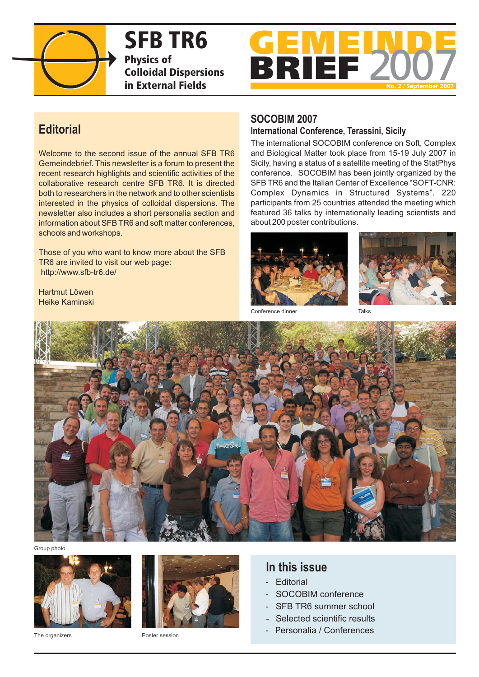

**SFB TR6 Physics of Colloidal Dispersions in External Fields**



# **Editorial**

Welcome to the second issue of the annual SFB TR6 Gemeindebrief. This newsletter is a forum to present the recent research highlights and scientific activities of the collaborative research centre SFB TR6. It is directed both to researchers in the network and to other scientists interested in the physics of colloidal dispersions. The newsletter also includes a short personalia section and information about SFB TR6 and soft matter conferences, schools and workshops.

Those of you who want to know more about the SFB TR6 are invited to visit our web page: http://www.sfb-tr6.de/

Hartmut Löwen Heike Kaminski

# **SOCOBIM 2007**

#### **International Conference, Terassini, Sicily**

The international SOCOBIM conference on Soft, Complex and Biological Matter took place from 15-19 July 2007 in Sicily, having a status of a satellite meeting of the StatPhys conference. SOCOBIM has been jointly organized by the SFB TR6 and the Italian Center of Excellence "SOFT-CNR: Complex Dynamics in Structured Systems". 220 participants from 25 countries attended the meeting which featured 36 talks by internationally leading scientists and about 200 poster contributions.





Conference dinner Talks



Group photo



The organizers **Poster session** 



# **In this issue**

- Editorial
- SOCOBIM conference
- SFB TR6 summer school
- Selected scientific results
- P ersonalia / Conferences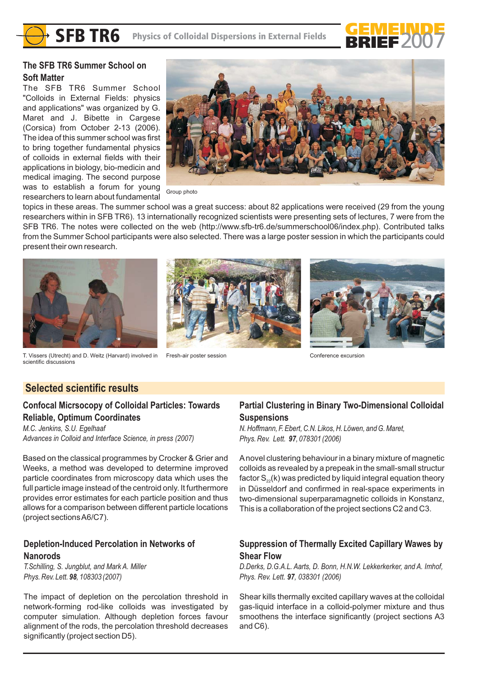**SFB TR6** Physics of Colloidal Dispersions in External Fields



# **The SFB TR6 Summer School on Soft Matter**

The SFB TR6 Summer School "Colloids in External Fields: physics and applications" was organized by G. Maret and J. Bibette in Cargese (Corsica) from October 2-13 (2006). The idea of this summer school was first to bring together fundamental physics of colloids in external fields with their applications in biology, bio-medicin and medical imaging. The second purpose was to establish a forum for young researchers to learn about fundamental



Group photo

topics in these areas. The summer school was a great success: about 82 applications were received (29 from the young researchers within in SFB TR6). 13 internationally recognized scientists were presenting sets of lectures, 7 were from the SFB TR6. The notes were collected on the web (http://www.sfb-tr6.de/summerschool06/index.php). Contributed talks from the Summer School participants were also selected. There was a large poster session in which the participants could present their own research.







Fresh-air poster session Conference excursion

scientific discussions

# **Selected scientific results**

# **Confocal Micrsocopy of Colloidal Particles: Towards Reliable, Optimum Coordinates**

*M.C. Jenkins, S.U. Egelhaaf Advances in Colloid and Interface Science, in press (2007)*

Based on the classical programmes by Crocker & Grier and Weeks, a method was developed to determine improved particle coordinates from microscopy data which uses the full particle image instead of the centroid only. It furthermore provides error estimates for each particle position and thus allows for a comparison between different particle locations (project sectionsA6/C7).

# **Depletion-Induced Percolation in Networks of Nanorods**

*T.Schilling, S. Jungblut, and Mark A. Miller Phys. Rev. Lett.* 98, 108303 (2007)

The impact of depletion on the percolation threshold in network-forming rod-like colloids was investigated by computer simulation. Although depletion forces favour alignment of the rods, the percolation threshold decreases significantly (project section D5).

# **Partial Clustering in Binary Two-Dimensional Colloidal Suspensions**

*N. Hoffmann, F. Ebert, C.N. Likos, H. Löwen, and G. Maret, Phys. Rev. Lett.* 97, 078301 (2006)

Anovel clustering behaviour in a binary mixture of magnetic colloids as revealed by a prepeak in the small-small structur factor  $\mathsf{S}_{\mathsf{z}\mathsf{z}}(\mathsf{k})$  was predicted by liquid integral equation theory in Düsseldorf and confirmed in real-space experiments in two-dimensional superparamagnetic colloids in Konstanz, This is a collaboration of the project sections C2 and C3.

# **Suppression of Thermally Excited Capillary Wawes by Shear Flow**

*D.Derks, D.G.A.L. Aarts, D. Bonn, H.N.W. Lekkerkerker, and A. Imhof, Phys. Rev. Lett.* 97, 038301 (2006)

Shear kills thermally excited capillary waves at the colloidal gas-liquid interface in a colloid-polymer mixture and thus smoothens the interface significantly (project sections A3 and C6).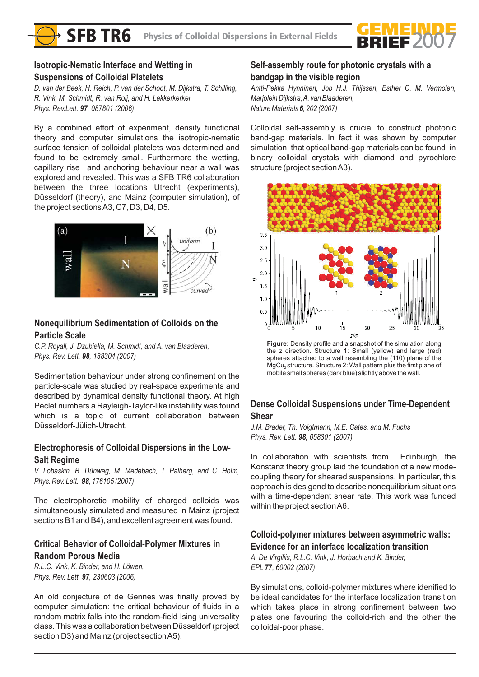

# **Isotropic-Nematic Interface and Wetting in Suspensions of Colloidal Platelets**

*D. van der Beek, H. Reich, P. van der Schoot, M. Dijkstra, T. Schilling, R. Vink, M. Schmidt, R. van Roij, and H. Lekkerkerker Phys. Rev.Lett.* 97, 087801 (2006)

By a combined effort of experiment, density functional theory and computer simulations the isotropic-nematic surface tension of colloidal platelets was determined and found to be extremely small. Furthermore the wetting, capillary rise and anchoring behaviour near a wall was explored and revealed. This was a SFB TR6 collaboration between the three locations Utrecht (experiments), Düsseldorf (theory), and Mainz (computer simulation), of the project sectionsA3, C7, D3, D4, D5.



# **Nonequilibrium Sedimentation of Colloids on the Particle Scale**

*C.P. Royall, J. Dzubiella, M. Schmidt, and A. van Blaaderen, Phys. Rev. Lett.* 98, 188304 (2007)

Sedimentation behaviour under strong confinement on the particle-scale was studied by real-space experiments and described by dynamical density functional theory. At high Peclet numbers a Rayleigh-Taylor-like instability was found which is a topic of current collaboration between Düsseldorf-Jülich-Utrecht.

# **Electrophoresis of Colloidal Dispersions in the Low-Salt Regime**

*V. Lobaskin, B. Dünweg, M. Medebach, T. Palberg, and C. Holm, Phys. Rev. Lett.* **98**, 176105 (2007)

The electrophoretic mobility of charged colloids was simultaneously simulated and measured in Mainz (project sections B1 and B4), and excellent agreement was found.

# **Critical Behavior of Colloidal-Polymer Mixtures in Random Porous Media**

*R.L.C. Vink, K. Binder, and H. Löwen, Phys. Rev. Lett.* 97, 230603 (2006)

An old conjecture of de Gennes was finally proved by computer simulation: the critical behaviour of fluids in a random matrix falls into the random-field Ising universality class. This was a collaboration between Düsseldorf (project section D3) and Mainz (project sectionA5).

# **Self-assembly route for photonic crystals with a bandgap in the visible region**

*Antti-Pekka Hynninen, Job H.J. Thijssen, Esther C. M. Vermolen, Marjolein Dijkstra,A. van Blaaderen, Nature Materials 6, 202 (2007)* 

Colloidal self-assembly is crucial to construct photonic band-gap materials. In fact it was shown by computer simulation that optical band-gap materials can be found in binary colloidal crystals with diamond and pyrochlore structure (project sectionA3).



**Figure:** Density profile and a snapshot of the simulation along the z direction. Structure 1: Small (yellow) and large (red) spheres attached to a wall resembling the (110) plane of the  $MgCu<sub>2</sub>$  structure. Structure 2: Wall pattern plus the first plane of mobile small spheres (dark blue) slightly above the wall.

# **Dense Colloidal Suspensions under Time-Dependent Shear**

*J.M. Brader, Th. Voigtmann, M.E. Cates, and M. Fuchs Phys. Rev. Lett.* 98, 058301 (2007)

In collaboration with scientists from Edinburgh, the Konstanz theory group laid the foundation of a new modecoupling theory for sheared suspensions. In particular, this approach is desigend to describe nonequilibrium situations with a time-dependent shear rate. This work was funded within the project sectionA6.

# **Colloid-polymer mixtures between asymmetric walls: Evidence for an interface localization transition**

*A. De Virgiliis, R.L.C. Vink, J. Horbach and K. Binder, EPL (2007) 77*, *60002*

By simulations, colloid-polymer mixtures where idenified to be ideal candidates for the interface localization transition which takes place in strong confinement between two plates one favouring the colloid-rich and the other the colloidal-poor phase.